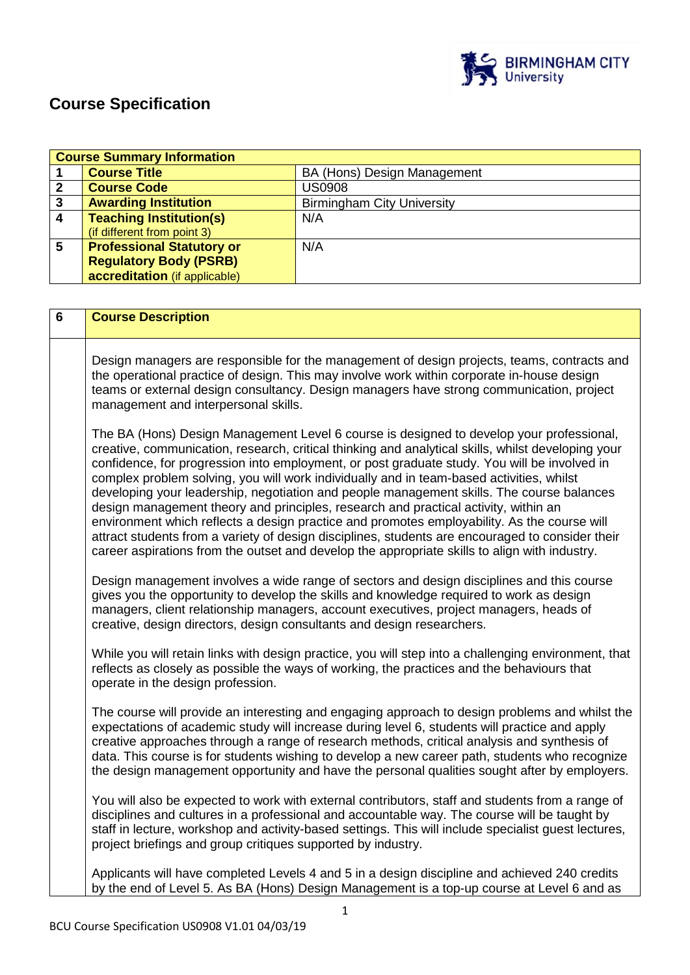

## **Course Specification**

| <b>Course Summary Information</b> |                                  |                                   |
|-----------------------------------|----------------------------------|-----------------------------------|
|                                   | <b>Course Title</b>              | BA (Hons) Design Management       |
|                                   | <b>Course Code</b>               | <b>US0908</b>                     |
| 3                                 | <b>Awarding Institution</b>      | <b>Birmingham City University</b> |
| 4                                 | <b>Teaching Institution(s)</b>   | N/A                               |
|                                   | (if different from point 3)      |                                   |
| 5                                 | <b>Professional Statutory or</b> | N/A                               |
|                                   | <b>Regulatory Body (PSRB)</b>    |                                   |
|                                   | accreditation (if applicable)    |                                   |

| 6 | <b>Course Description</b>                                                                                                                                                                                                                                                                                                                                                                                                                                                                                                                                                                                                                                                                                                                                                                                                                                                          |  |
|---|------------------------------------------------------------------------------------------------------------------------------------------------------------------------------------------------------------------------------------------------------------------------------------------------------------------------------------------------------------------------------------------------------------------------------------------------------------------------------------------------------------------------------------------------------------------------------------------------------------------------------------------------------------------------------------------------------------------------------------------------------------------------------------------------------------------------------------------------------------------------------------|--|
|   | Design managers are responsible for the management of design projects, teams, contracts and<br>the operational practice of design. This may involve work within corporate in-house design<br>teams or external design consultancy. Design managers have strong communication, project<br>management and interpersonal skills.                                                                                                                                                                                                                                                                                                                                                                                                                                                                                                                                                      |  |
|   | The BA (Hons) Design Management Level 6 course is designed to develop your professional,<br>creative, communication, research, critical thinking and analytical skills, whilst developing your<br>confidence, for progression into employment, or post graduate study. You will be involved in<br>complex problem solving, you will work individually and in team-based activities, whilst<br>developing your leadership, negotiation and people management skills. The course balances<br>design management theory and principles, research and practical activity, within an<br>environment which reflects a design practice and promotes employability. As the course will<br>attract students from a variety of design disciplines, students are encouraged to consider their<br>career aspirations from the outset and develop the appropriate skills to align with industry. |  |
|   | Design management involves a wide range of sectors and design disciplines and this course<br>gives you the opportunity to develop the skills and knowledge required to work as design<br>managers, client relationship managers, account executives, project managers, heads of<br>creative, design directors, design consultants and design researchers.                                                                                                                                                                                                                                                                                                                                                                                                                                                                                                                          |  |
|   | While you will retain links with design practice, you will step into a challenging environment, that<br>reflects as closely as possible the ways of working, the practices and the behaviours that<br>operate in the design profession.                                                                                                                                                                                                                                                                                                                                                                                                                                                                                                                                                                                                                                            |  |
|   | The course will provide an interesting and engaging approach to design problems and whilst the<br>expectations of academic study will increase during level 6, students will practice and apply<br>creative approaches through a range of research methods, critical analysis and synthesis of<br>data. This course is for students wishing to develop a new career path, students who recognize<br>the design management opportunity and have the personal qualities sought after by employers.                                                                                                                                                                                                                                                                                                                                                                                   |  |
|   | You will also be expected to work with external contributors, staff and students from a range of<br>disciplines and cultures in a professional and accountable way. The course will be taught by<br>staff in lecture, workshop and activity-based settings. This will include specialist guest lectures,<br>project briefings and group critiques supported by industry.                                                                                                                                                                                                                                                                                                                                                                                                                                                                                                           |  |
|   | Applicants will have completed Levels 4 and 5 in a design discipline and achieved 240 credits<br>by the end of Level 5. As BA (Hons) Design Management is a top-up course at Level 6 and as                                                                                                                                                                                                                                                                                                                                                                                                                                                                                                                                                                                                                                                                                        |  |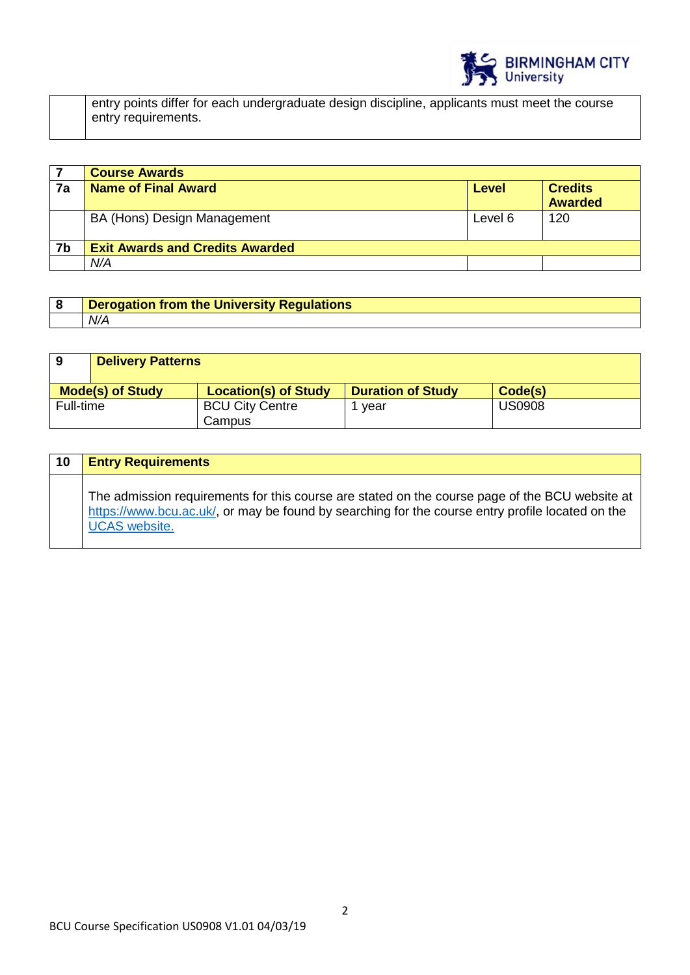

entry points differ for each undergraduate design discipline, applicants must meet the course entry requirements.

|    | <b>Course Awards</b>                   |         |                                  |
|----|----------------------------------------|---------|----------------------------------|
| 7a | <b>Name of Final Award</b>             | Level   | <b>Credits</b><br><b>Awarded</b> |
|    | BA (Hons) Design Management            | Level 6 | 120                              |
| 7b | <b>Exit Awards and Credits Awarded</b> |         |                                  |
|    | N/A                                    |         |                                  |

| <b>Derogation from the University Regulations</b> |  |
|---------------------------------------------------|--|
| N/A                                               |  |

| 9                       | <b>Delivery Patterns</b> |                                  |                          |               |
|-------------------------|--------------------------|----------------------------------|--------------------------|---------------|
| <b>Mode(s) of Study</b> |                          | <b>Location(s) of Study</b>      | <b>Duration of Study</b> | Code(s)       |
| Full-time               |                          | <b>BCU City Centre</b><br>Campus | vear                     | <b>US0908</b> |

| 10 | <b>Entry Requirements</b>                                                                                                                                                                                                  |
|----|----------------------------------------------------------------------------------------------------------------------------------------------------------------------------------------------------------------------------|
|    | The admission requirements for this course are stated on the course page of the BCU website at<br>https://www.bcu.ac.uk/, or may be found by searching for the course entry profile located on the<br><b>UCAS</b> website. |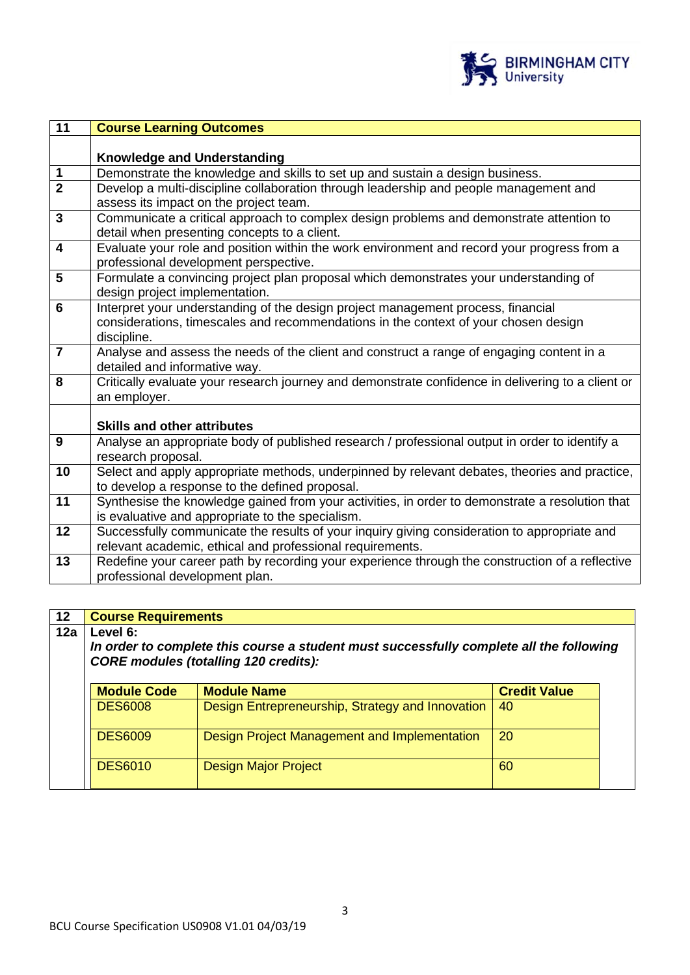

| 11               | <b>Course Learning Outcomes</b>                                                                   |  |  |
|------------------|---------------------------------------------------------------------------------------------------|--|--|
|                  |                                                                                                   |  |  |
|                  | <b>Knowledge and Understanding</b>                                                                |  |  |
| $\overline{1}$   | Demonstrate the knowledge and skills to set up and sustain a design business.                     |  |  |
| $\overline{2}$   | Develop a multi-discipline collaboration through leadership and people management and             |  |  |
|                  | assess its impact on the project team.                                                            |  |  |
| $\overline{3}$   | Communicate a critical approach to complex design problems and demonstrate attention to           |  |  |
|                  | detail when presenting concepts to a client.                                                      |  |  |
| $\overline{4}$   | Evaluate your role and position within the work environment and record your progress from a       |  |  |
|                  | professional development perspective.                                                             |  |  |
| 5                | Formulate a convincing project plan proposal which demonstrates your understanding of             |  |  |
|                  | design project implementation.                                                                    |  |  |
| 6                | Interpret your understanding of the design project management process, financial                  |  |  |
|                  | considerations, timescales and recommendations in the context of your chosen design               |  |  |
|                  | discipline.                                                                                       |  |  |
| $\overline{7}$   | Analyse and assess the needs of the client and construct a range of engaging content in a         |  |  |
|                  | detailed and informative way.                                                                     |  |  |
| 8                | Critically evaluate your research journey and demonstrate confidence in delivering to a client or |  |  |
|                  | an employer.                                                                                      |  |  |
|                  |                                                                                                   |  |  |
|                  | <b>Skills and other attributes</b>                                                                |  |  |
| $\boldsymbol{9}$ | Analyse an appropriate body of published research / professional output in order to identify a    |  |  |
|                  | research proposal.                                                                                |  |  |
| 10               | Select and apply appropriate methods, underpinned by relevant debates, theories and practice,     |  |  |
|                  | to develop a response to the defined proposal.                                                    |  |  |
| 11               | Synthesise the knowledge gained from your activities, in order to demonstrate a resolution that   |  |  |
|                  | is evaluative and appropriate to the specialism.                                                  |  |  |
| $\overline{12}$  | Successfully communicate the results of your inquiry giving consideration to appropriate and      |  |  |
|                  | relevant academic, ethical and professional requirements.                                         |  |  |
| 13               | Redefine your career path by recording your experience through the construction of a reflective   |  |  |
|                  | professional development plan.                                                                    |  |  |
|                  |                                                                                                   |  |  |

# **12 Course Requirements**

#### **12a Level 6:**

*In order to complete this course a student must successfully complete all the following CORE modules (totalling 120 credits):*

| <b>Module Code</b> | <b>Module Name</b>                               | <b>Credit Value</b> |
|--------------------|--------------------------------------------------|---------------------|
| <b>DES6008</b>     | Design Entrepreneurship, Strategy and Innovation | 40                  |
| <b>DES6009</b>     | Design Project Management and Implementation     | <b>20</b>           |
| <b>DES6010</b>     | <b>Design Major Project</b>                      | 60                  |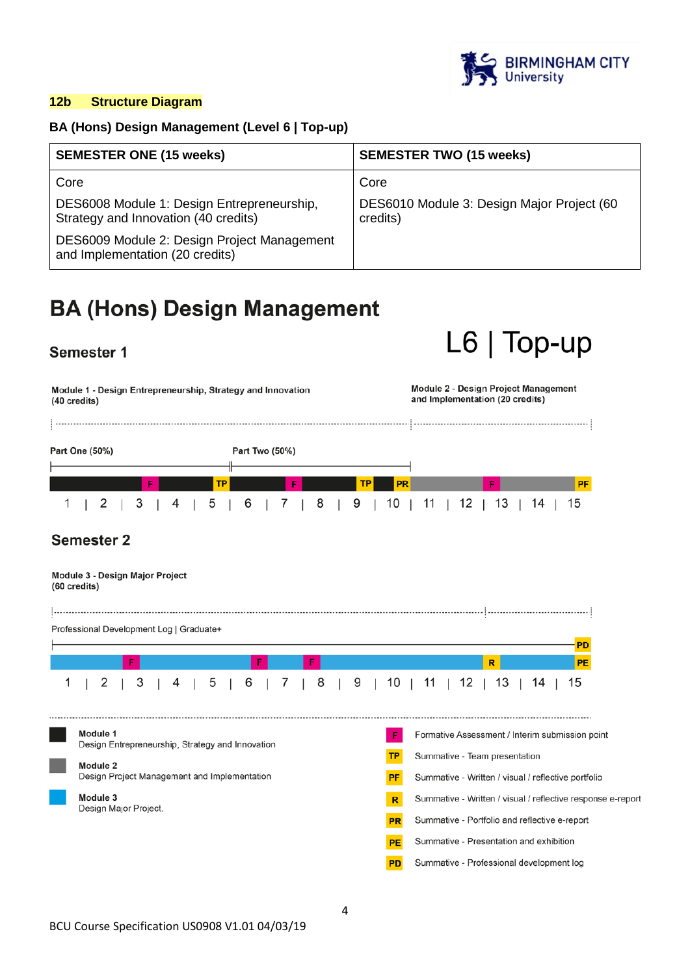

 $L6$  | Top-up

## **12b Structure Diagram**

## **BA (Hons) Design Management (Level 6 | Top-up)**

| <b>SEMESTER ONE (15 weeks)</b>                                                     | <b>SEMESTER TWO (15 weeks)</b>                         |
|------------------------------------------------------------------------------------|--------------------------------------------------------|
| Core                                                                               | Core                                                   |
| DES6008 Module 1: Design Entrepreneurship,<br>Strategy and Innovation (40 credits) | DES6010 Module 3: Design Major Project (60<br>credits) |
| DES6009 Module 2: Design Project Management<br>and Implementation (20 credits)     |                                                        |

## **BA (Hons) Design Management**

## Semester 1

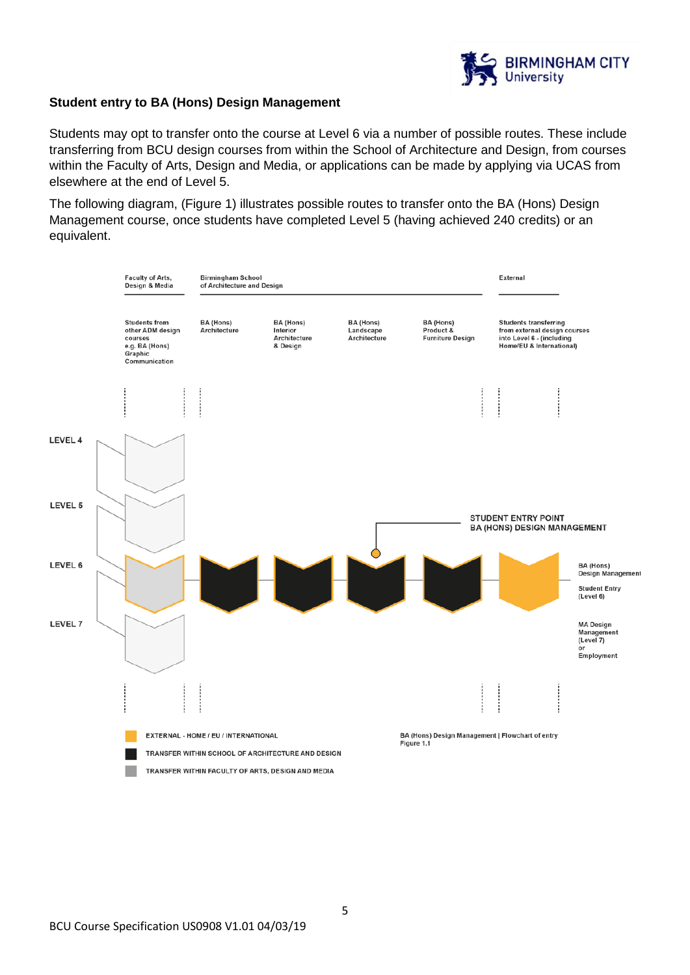

## **Student entry to BA (Hons) Design Management**

Students may opt to transfer onto the course at Level 6 via a number of possible routes. These include transferring from BCU design courses from within the School of Architecture and Design, from courses within the Faculty of Arts, Design and Media, or applications can be made by applying via UCAS from elsewhere at the end of Level 5.

The following diagram, (Figure 1) illustrates possible routes to transfer onto the BA (Hons) Design Management course, once students have completed Level 5 (having achieved 240 credits) or an equivalent.